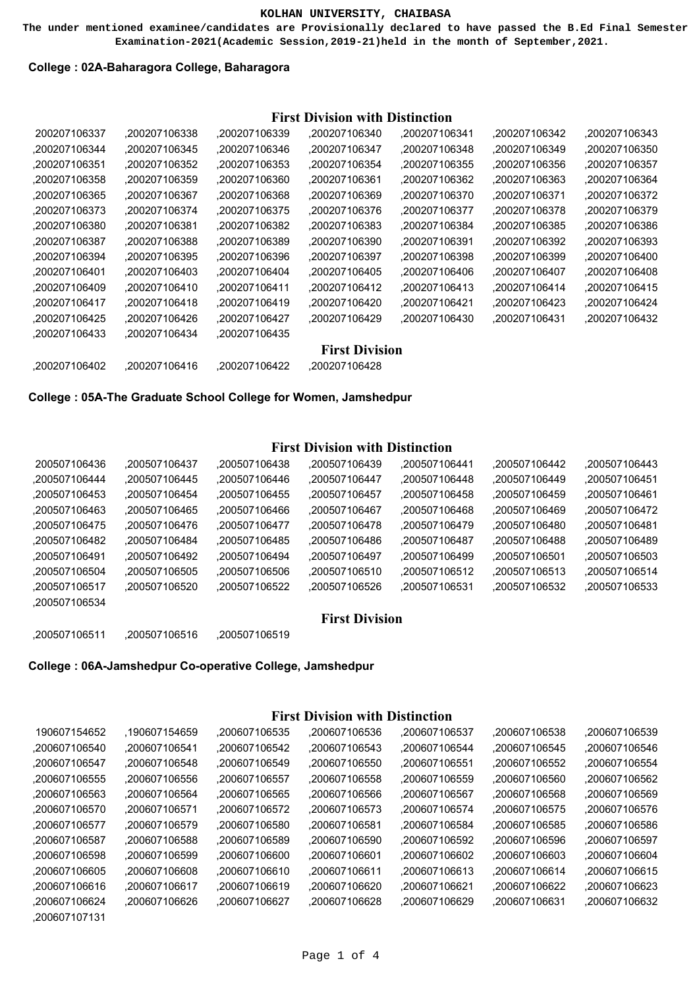**The under mentioned examinee/candidates are Provisionally declared to have passed the B.Ed Final Semester Examination-2021(Academic Session,2019-21)held in the month of September,2021.**

### **College : 02A-Baharagora College, Baharagora**

# **First Division with Distinction**

| 200207106337  | .200207106338 | ,200207106339 | .200207106340         | .200207106341 | .200207106342 | .200207106343 |
|---------------|---------------|---------------|-----------------------|---------------|---------------|---------------|
| .200207106344 | .200207106345 | .200207106346 | .200207106347         | .200207106348 | ,200207106349 | .200207106350 |
| .200207106351 | .200207106352 | .200207106353 | .200207106354         | .200207106355 | .200207106356 | .200207106357 |
| .200207106358 | ,200207106359 | ,200207106360 | .200207106361         | .200207106362 | .200207106363 | .200207106364 |
| .200207106365 | .200207106367 | .200207106368 | .200207106369         | ,200207106370 | .200207106371 | .200207106372 |
| .200207106373 | .200207106374 | .200207106375 | .200207106376         | .200207106377 | .200207106378 | .200207106379 |
| .200207106380 | .200207106381 | .200207106382 | .200207106383         | .200207106384 | .200207106385 | .200207106386 |
| .200207106387 | .200207106388 | ,200207106389 | ,200207106390         | .200207106391 | .200207106392 | .200207106393 |
| .200207106394 | .200207106395 | .200207106396 | .200207106397         | .200207106398 | .200207106399 | .200207106400 |
| .200207106401 | .200207106403 | .200207106404 | .200207106405         | .200207106406 | .200207106407 | .200207106408 |
| .200207106409 | .200207106410 | .200207106411 | .200207106412         | .200207106413 | .200207106414 | .200207106415 |
| .200207106417 | .200207106418 | .200207106419 | .200207106420         | .200207106421 | .200207106423 | .200207106424 |
| .200207106425 | .200207106426 | .200207106427 | .200207106429         | .200207106430 | .200207106431 | .200207106432 |
| .200207106433 | .200207106434 | .200207106435 |                       |               |               |               |
|               |               |               | <b>First Division</b> |               |               |               |
| .200207106402 | .200207106416 | .200207106422 | .200207106428         |               |               |               |

**College : 05A-The Graduate School College for Women, Jamshedpur**

# **First Division with Distinction**

| 200507106436  | .200507106437 | .200507106438 | .200507106439 | .200507106441 | .200507106442 | .200507106443 |
|---------------|---------------|---------------|---------------|---------------|---------------|---------------|
| .200507106444 | .200507106445 | .200507106446 | .200507106447 | .200507106448 | .200507106449 | .200507106451 |
| .200507106453 | .200507106454 | .200507106455 | .200507106457 | .200507106458 | .200507106459 | .200507106461 |
| .200507106463 | .200507106465 | .200507106466 | .200507106467 | .200507106468 | .200507106469 | .200507106472 |
| .200507106475 | .200507106476 | .200507106477 | .200507106478 | .200507106479 | .200507106480 | .200507106481 |
| .200507106482 | .200507106484 | .200507106485 | .200507106486 | .200507106487 | .200507106488 | .200507106489 |
| .200507106491 | .200507106492 | .200507106494 | .200507106497 | .200507106499 | .200507106501 | .200507106503 |
| .200507106504 | .200507106505 | .200507106506 | .200507106510 | .200507106512 | .200507106513 | .200507106514 |
| .200507106517 | .200507106520 | .200507106522 | .200507106526 | .200507106531 | ,200507106532 | .200507106533 |
| .200507106534 |               |               |               |               |               |               |

# **First Division**

,200507106511 ,200507106516 ,200507106519

**College : 06A-Jamshedpur Co-operative College, Jamshedpur**

# **First Division with Distinction**

| 190607154652  | .190607154659 | .200607106535 | .200607106536 | .200607106537 | .200607106538 | .200607106539 |
|---------------|---------------|---------------|---------------|---------------|---------------|---------------|
| .200607106540 | .200607106541 | .200607106542 | .200607106543 | .200607106544 | .200607106545 | .200607106546 |
| .200607106547 | .200607106548 | .200607106549 | .200607106550 | .200607106551 | .200607106552 | .200607106554 |
| .200607106555 | .200607106556 | .200607106557 | .200607106558 | .200607106559 | .200607106560 | .200607106562 |
| .200607106563 | .200607106564 | .200607106565 | .200607106566 | .200607106567 | .200607106568 | .200607106569 |
| .200607106570 | .200607106571 | .200607106572 | .200607106573 | .200607106574 | .200607106575 | .200607106576 |
| .200607106577 | .200607106579 | .200607106580 | .200607106581 | .200607106584 | .200607106585 | .200607106586 |
| .200607106587 | .200607106588 | .200607106589 | .200607106590 | .200607106592 | .200607106596 | .200607106597 |
| .200607106598 | .200607106599 | .200607106600 | .200607106601 | .200607106602 | .200607106603 | .200607106604 |
| .200607106605 | .200607106608 | .200607106610 | .200607106611 | .200607106613 | .200607106614 | .200607106615 |
| .200607106616 | .200607106617 | .200607106619 | .200607106620 | .200607106621 | .200607106622 | .200607106623 |
| .200607106624 | .200607106626 | .200607106627 | .200607106628 | .200607106629 | .200607106631 | .200607106632 |
|               |               |               |               |               |               |               |

,200607107131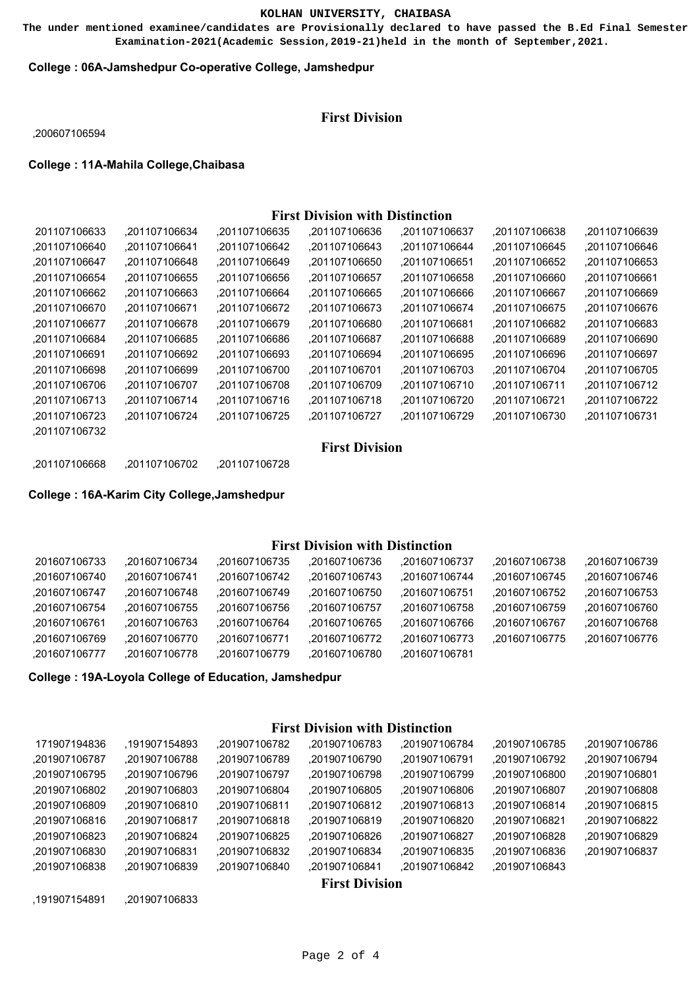**The under mentioned examinee/candidates are Provisionally declared to have passed the B.Ed Final Semester Examination-2021(Academic Session,2019-21)held in the month of September,2021.**

### **College : 06A-Jamshedpur Co-operative College, Jamshedpur**

# **First Division**

,200607106594

**College : 11A-Mahila College,Chaibasa**

# **First Division with Distinction**

| 201107106633  | .201107106634 | .201107106635 | .201107106636 | ,201107106637 | .201107106638 | ,201107106639 |
|---------------|---------------|---------------|---------------|---------------|---------------|---------------|
| .201107106640 | .201107106641 | .201107106642 | .201107106643 | .201107106644 | .201107106645 | .201107106646 |
| .201107106647 | .201107106648 | .201107106649 | .201107106650 | .201107106651 | .201107106652 | .201107106653 |
| .201107106654 | .201107106655 | .201107106656 | .201107106657 | .201107106658 | .201107106660 | .201107106661 |
| .201107106662 | .201107106663 | .201107106664 | .201107106665 | .201107106666 | .201107106667 | .201107106669 |
| .201107106670 | .201107106671 | .201107106672 | .201107106673 | .201107106674 | .201107106675 | .201107106676 |
| .201107106677 | .201107106678 | .201107106679 | .201107106680 | .201107106681 | .201107106682 | .201107106683 |
| .201107106684 | .201107106685 | .201107106686 | .201107106687 | .201107106688 | .201107106689 | .201107106690 |
| .201107106691 | .201107106692 | .201107106693 | .201107106694 | .201107106695 | .201107106696 | .201107106697 |
| .201107106698 | .201107106699 | .201107106700 | .201107106701 | .201107106703 | .201107106704 | .201107106705 |
| .201107106706 | .201107106707 | .201107106708 | .201107106709 | .201107106710 | .201107106711 | .201107106712 |
| .201107106713 | .201107106714 | .201107106716 | .201107106718 | .201107106720 | .201107106721 | .201107106722 |
| .201107106723 | .201107106724 | .201107106725 | .201107106727 | .201107106729 | .201107106730 | .201107106731 |
| .201107106732 |               |               |               |               |               |               |

## **First Division**

,201107106668 ,201107106702 ,201107106728

### **College : 16A-Karim City College,Jamshedpur**

## **First Division with Distinction**

| 201607106733  | .201607106734 | .201607106735 | .201607106736 | .201607106737 | .201607106738 | .201607106739 |
|---------------|---------------|---------------|---------------|---------------|---------------|---------------|
| .201607106740 | .201607106741 | .201607106742 | .201607106743 | .201607106744 | .201607106745 | .201607106746 |
| .201607106747 | .201607106748 | .201607106749 | .201607106750 | .201607106751 | .201607106752 | .201607106753 |
| .201607106754 | .201607106755 | .201607106756 | .201607106757 | .201607106758 | .201607106759 | .201607106760 |
| .201607106761 | .201607106763 | .201607106764 | .201607106765 | .201607106766 | .201607106767 | .201607106768 |
| .201607106769 | .201607106770 | .201607106771 | .201607106772 | .201607106773 | .201607106775 | .201607106776 |
| .201607106777 | .201607106778 | .201607106779 | .201607106780 | .201607106781 |               |               |
|               |               |               |               |               |               |               |

**College : 19A-Loyola College of Education, Jamshedpur**

### **First Division with Distinction**

| 171907194836  | .191907154893 | .201907106782 | .201907106783         | .201907106784 | .201907106785 | .201907106786 |
|---------------|---------------|---------------|-----------------------|---------------|---------------|---------------|
| .201907106787 | .201907106788 | .201907106789 | .201907106790         | .201907106791 | .201907106792 | .201907106794 |
| .201907106795 | .201907106796 | .201907106797 | .201907106798         | .201907106799 | .201907106800 | .201907106801 |
| .201907106802 | .201907106803 | .201907106804 | .201907106805         | .201907106806 | .201907106807 | .201907106808 |
| .201907106809 | .201907106810 | .201907106811 | .201907106812         | .201907106813 | .201907106814 | .201907106815 |
| .201907106816 | .201907106817 | .201907106818 | .201907106819         | .201907106820 | .201907106821 | .201907106822 |
| .201907106823 | .201907106824 | .201907106825 | .201907106826         | .201907106827 | .201907106828 | .201907106829 |
| .201907106830 | .201907106831 | .201907106832 | .201907106834         | .201907106835 | .201907106836 | .201907106837 |
| .201907106838 | .201907106839 | .201907106840 | .201907106841         | .201907106842 | .201907106843 |               |
|               |               |               | <b>First Division</b> |               |               |               |

,191907154891 ,201907106833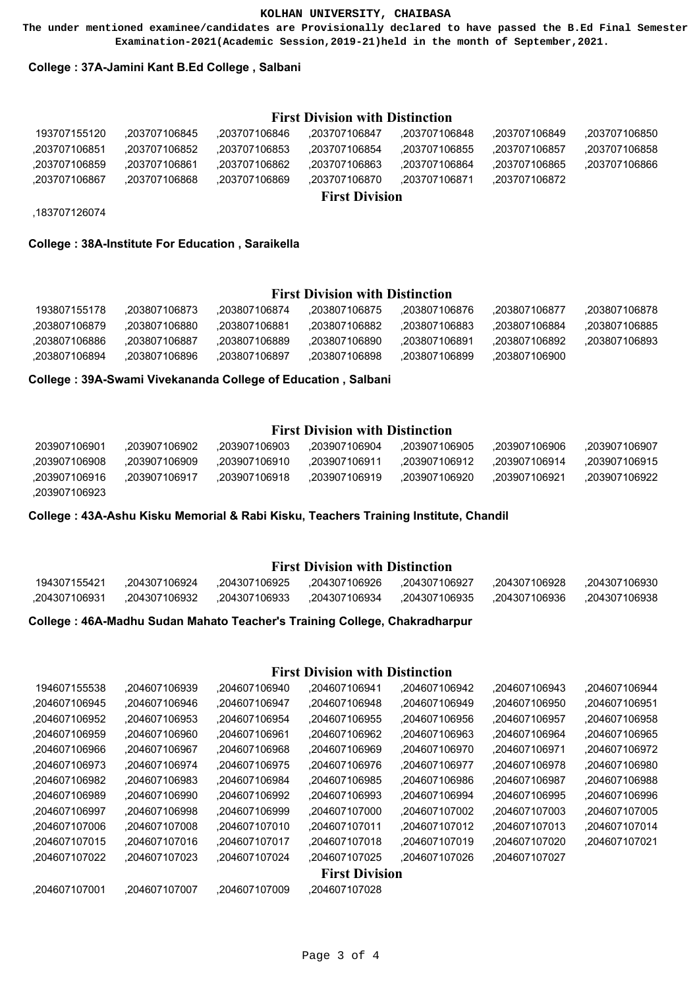**The under mentioned examinee/candidates are Provisionally declared to have passed the B.Ed Final Semester Examination-2021(Academic Session,2019-21)held in the month of September,2021.**

### **College : 37A-Jamini Kant B.Ed College , Salbani**

### **First Division with Distinction**

| .203707106862<br>.203707106863<br>.203707106869<br>.203707106870 | .203707106864<br>.203707106871 | .203707106865<br>.203707106872 | .203707106866 |
|------------------------------------------------------------------|--------------------------------|--------------------------------|---------------|
|                                                                  |                                |                                |               |
|                                                                  |                                |                                |               |
| .203707106854<br>.203707106853                                   | .203707106855                  | .203707106857                  | .203707106858 |
| .203707106846                                                    | .203707106848                  | .203707106849                  | .203707106850 |
|                                                                  |                                | .203707106847                  |               |

,183707126074

#### **College : 38A-Institute For Education , Saraikella**

# **First Division with Distinction**

| 193807155178  | .203807106873 | .203807106874 | .203807106875 | .203807106876 | .203807106877 | .203807106878 |
|---------------|---------------|---------------|---------------|---------------|---------------|---------------|
| .203807106879 | .203807106880 | .203807106881 | .203807106882 | .203807106883 | .203807106884 | .203807106885 |
| .203807106886 | .203807106887 | .203807106889 | .203807106890 | .203807106891 | .203807106892 | .203807106893 |
| .203807106894 | .203807106896 | .203807106897 | .203807106898 | .203807106899 | ,203807106900 |               |

**College : 39A-Swami Vivekananda College of Education , Salbani**

# **First Division with Distinction**

| 203907106901  | .203907106902 | .203907106903 | .203907106904 | .203907106905 | .203907106906 | .203907106907 |
|---------------|---------------|---------------|---------------|---------------|---------------|---------------|
| .203907106908 | .203907106909 | .203907106910 | .203907106911 | .203907106912 | .203907106914 | .203907106915 |
| .203907106916 | .203907106917 | .203907106918 | .203907106919 | .203907106920 | .203907106921 | .203907106922 |
| .203907106923 |               |               |               |               |               |               |

**College : 43A-Ashu Kisku Memorial & Rabi Kisku, Teachers Training Institute, Chandil**

### **First Division with Distinction**

| 194307155421  | .204307106924                               |  | .204307106927                | .204307106928 | .204307106930 |
|---------------|---------------------------------------------|--|------------------------------|---------------|---------------|
| .204307106931 | 204307106934,  204307106933,  204307106934, |  | .204307106935. 204307106936. |               | .204307106938 |

**College : 46A-Madhu Sudan Mahato Teacher's Training College, Chakradharpur**

# **First Division with Distinction**

| 194607155538  | .204607106939 | .204607106940 | .204607106941         | .204607106942 | .204607106943 | .204607106944 |
|---------------|---------------|---------------|-----------------------|---------------|---------------|---------------|
| .204607106945 | .204607106946 | .204607106947 | .204607106948         | .204607106949 | .204607106950 | .204607106951 |
| .204607106952 | .204607106953 | .204607106954 | .204607106955         | .204607106956 | .204607106957 | .204607106958 |
| .204607106959 | .204607106960 | .204607106961 | .204607106962         | .204607106963 | .204607106964 | .204607106965 |
| .204607106966 | .204607106967 | .204607106968 | .204607106969         | .204607106970 | .204607106971 | .204607106972 |
| .204607106973 | .204607106974 | .204607106975 | .204607106976         | .204607106977 | .204607106978 | .204607106980 |
| .204607106982 | .204607106983 | .204607106984 | .204607106985         | .204607106986 | .204607106987 | .204607106988 |
| .204607106989 | .204607106990 | .204607106992 | .204607106993         | .204607106994 | .204607106995 | .204607106996 |
| .204607106997 | .204607106998 | .204607106999 | .204607107000         | .204607107002 | .204607107003 | .204607107005 |
| .204607107006 | .204607107008 | .204607107010 | .204607107011         | .204607107012 | .204607107013 | .204607107014 |
| .204607107015 | .204607107016 | .204607107017 | .204607107018         | .204607107019 | .204607107020 | .204607107021 |
| .204607107022 | .204607107023 | .204607107024 | .204607107025         | .204607107026 | .204607107027 |               |
|               |               |               | <b>First Division</b> |               |               |               |
| .204607107001 | .204607107007 | .204607107009 | .204607107028         |               |               |               |